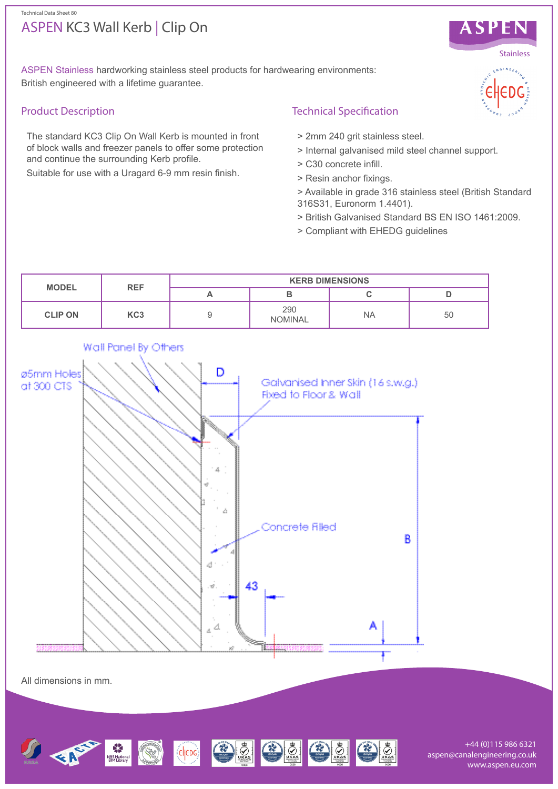# ASPEN KC3 Wall Kerb | Clip On Technical Data Sheet 80



ASPEN Stainless hardworking stainless steel products for hardwearing environments: British engineered with a lifetime guarantee.

# Product Description

The standard KC3 Clip On Wall Kerb is mounted in front of block walls and freezer panels to offer some protection and continue the surrounding Kerb profile.

Suitable for use with a Uragard 6-9 mm resin finish.

# Technical Specification

- > 2mm 240 grit stainless steel.
- > Internal galvanised mild steel channel support.
- > C30 concrete infill.
- > Resin anchor fixings.
- > Available in grade 316 stainless steel (British Standard 316S31, Euronorm 1.4401).
- > British Galvanised Standard BS EN ISO 1461:2009.
- > Compliant with EHEDG guidelines



All dimensions in mm.



+44 (0)115 986 6321 aspen@canalengineering.co.uk www.aspen.eu.com